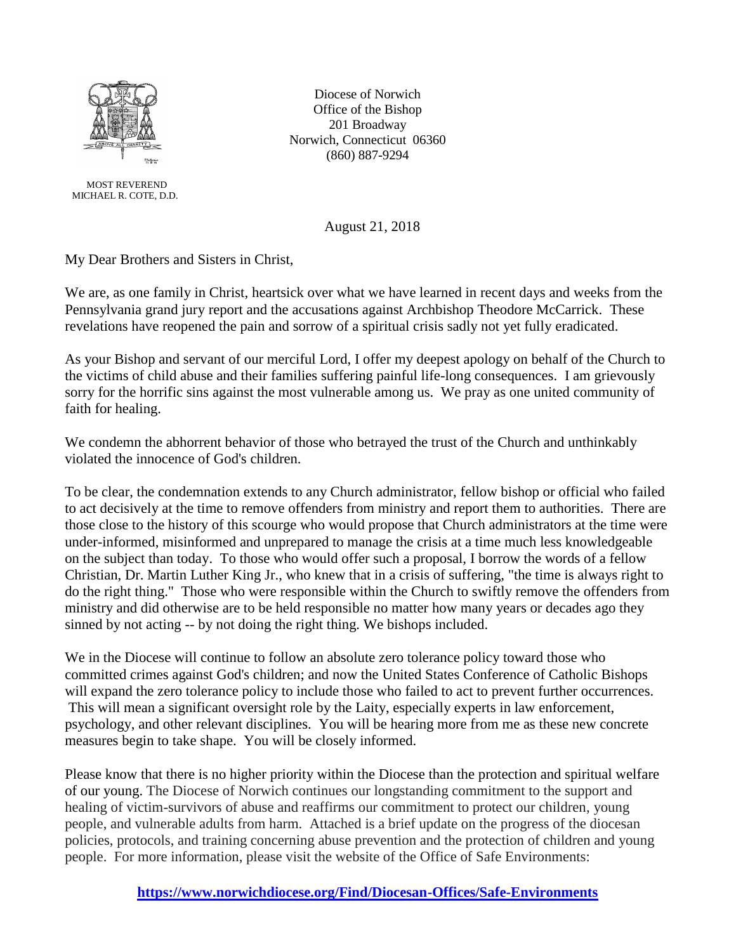

 MOST REVEREND MICHAEL R. COTE, D.D.

 Diocese of Norwich Office of the Bishop 201 Broadway Norwich, Connecticut 06360 (860) 887-9294

August 21, 2018

My Dear Brothers and Sisters in Christ,

We are, as one family in Christ, heartsick over what we have learned in recent days and weeks from the Pennsylvania grand jury report and the accusations against Archbishop Theodore McCarrick. These revelations have reopened the pain and sorrow of a spiritual crisis sadly not yet fully eradicated.

As your Bishop and servant of our merciful Lord, I offer my deepest apology on behalf of the Church to the victims of child abuse and their families suffering painful life-long consequences. I am grievously sorry for the horrific sins against the most vulnerable among us. We pray as one united community of faith for healing.

We condemn the abhorrent behavior of those who betrayed the trust of the Church and unthinkably violated the innocence of God's children.

To be clear, the condemnation extends to any Church administrator, fellow bishop or official who failed to act decisively at the time to remove offenders from ministry and report them to authorities. There are those close to the history of this scourge who would propose that Church administrators at the time were under-informed, misinformed and unprepared to manage the crisis at a time much less knowledgeable on the subject than today. To those who would offer such a proposal, I borrow the words of a fellow Christian, Dr. Martin Luther King Jr., who knew that in a crisis of suffering, "the time is always right to do the right thing." Those who were responsible within the Church to swiftly remove the offenders from ministry and did otherwise are to be held responsible no matter how many years or decades ago they sinned by not acting -- by not doing the right thing. We bishops included.

We in the Diocese will continue to follow an absolute zero tolerance policy toward those who committed crimes against God's children; and now the United States Conference of Catholic Bishops will expand the zero tolerance policy to include those who failed to act to prevent further occurrences. This will mean a significant oversight role by the Laity, especially experts in law enforcement, psychology, and other relevant disciplines. You will be hearing more from me as these new concrete measures begin to take shape. You will be closely informed.

Please know that there is no higher priority within the Diocese than the protection and spiritual welfare of our young. The Diocese of Norwich continues our longstanding commitment to the support and healing of victim-survivors of abuse and reaffirms our commitment to protect our children, young people, and vulnerable adults from harm. Attached is a brief update on the progress of the diocesan policies, protocols, and training concerning abuse prevention and the protection of children and young people. For more information, please visit the website of the Office of Safe Environments: